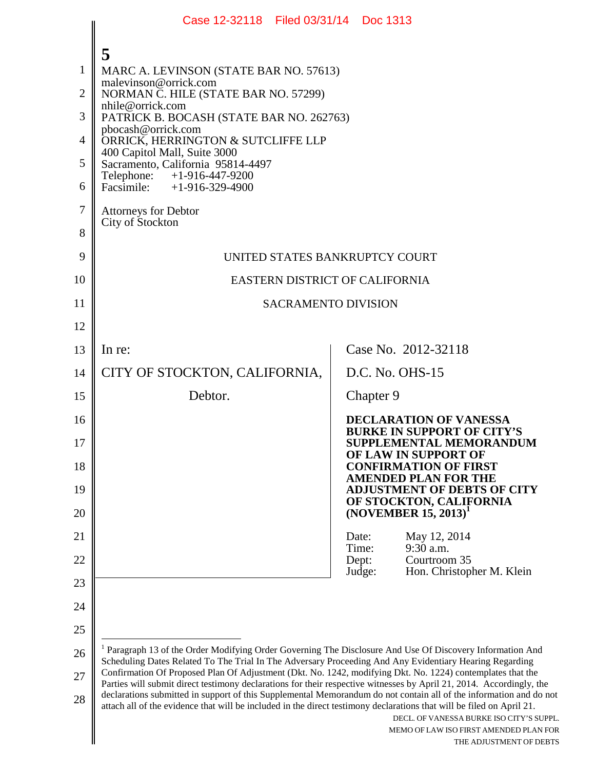<span id="page-0-0"></span>

|                | Case 12-32118 Filed 03/31/14 Doc 1313                                                                                                                                                                                                       |                                                                                                                                                                                                                                 |  |  |  |
|----------------|---------------------------------------------------------------------------------------------------------------------------------------------------------------------------------------------------------------------------------------------|---------------------------------------------------------------------------------------------------------------------------------------------------------------------------------------------------------------------------------|--|--|--|
|                | 5                                                                                                                                                                                                                                           |                                                                                                                                                                                                                                 |  |  |  |
| 1              | MARC A. LEVINSON (STATE BAR NO. 57613)                                                                                                                                                                                                      |                                                                                                                                                                                                                                 |  |  |  |
| $\overline{2}$ | malevinson@orrick.com<br>NORMAN C. HILE (STATE BAR NO. 57299)                                                                                                                                                                               |                                                                                                                                                                                                                                 |  |  |  |
| 3              | nhile@orrick.com<br>PATRICK B. BOCASH (STATE BAR NO. 262763)                                                                                                                                                                                |                                                                                                                                                                                                                                 |  |  |  |
| $\overline{4}$ | pbocash@orrick.com<br>ORRICK, HERRINGTON & SUTCLIFFE LLP                                                                                                                                                                                    |                                                                                                                                                                                                                                 |  |  |  |
| 5              | 400 Capitol Mall, Suite 3000<br>Sacramento, California 95814-4497                                                                                                                                                                           |                                                                                                                                                                                                                                 |  |  |  |
| 6              | Telephone: +1-916-447-9200<br>Facsimile: $+1-916-329-4900$                                                                                                                                                                                  |                                                                                                                                                                                                                                 |  |  |  |
| $\overline{7}$ | <b>Attorneys for Debtor</b>                                                                                                                                                                                                                 |                                                                                                                                                                                                                                 |  |  |  |
| 8              | City of Stockton                                                                                                                                                                                                                            |                                                                                                                                                                                                                                 |  |  |  |
| 9              | UNITED STATES BANKRUPTCY COURT                                                                                                                                                                                                              |                                                                                                                                                                                                                                 |  |  |  |
| 10             | EASTERN DISTRICT OF CALIFORNIA                                                                                                                                                                                                              |                                                                                                                                                                                                                                 |  |  |  |
| 11             |                                                                                                                                                                                                                                             | <b>SACRAMENTO DIVISION</b>                                                                                                                                                                                                      |  |  |  |
| 12             |                                                                                                                                                                                                                                             |                                                                                                                                                                                                                                 |  |  |  |
| 13             | In re:                                                                                                                                                                                                                                      | Case No. 2012-32118                                                                                                                                                                                                             |  |  |  |
| 14             | CITY OF STOCKTON, CALIFORNIA,                                                                                                                                                                                                               | D.C. No. OHS-15                                                                                                                                                                                                                 |  |  |  |
| 15             | Debtor.                                                                                                                                                                                                                                     | Chapter 9                                                                                                                                                                                                                       |  |  |  |
| 16             |                                                                                                                                                                                                                                             | <b>DECLARATION OF VANESSA</b><br><b>BURKE IN SUPPORT OF CITY'S</b>                                                                                                                                                              |  |  |  |
| 17             |                                                                                                                                                                                                                                             | SUPPLEMENTAL MEMORANDUM<br>OF LAW IN SUPPORT OF                                                                                                                                                                                 |  |  |  |
| 18             |                                                                                                                                                                                                                                             | <b>CONFIRMATION OF FIRST</b><br><b>AMENDED PLAN FOR THE</b>                                                                                                                                                                     |  |  |  |
| 19             |                                                                                                                                                                                                                                             | <b>ADJUSTMENT OF DEBTS OF CITY</b><br>OF STOCKTON, CALIFORNIA                                                                                                                                                                   |  |  |  |
| 20             |                                                                                                                                                                                                                                             | $(NOVEMBER 15, 2013)^T$                                                                                                                                                                                                         |  |  |  |
| 21             |                                                                                                                                                                                                                                             | May 12, 2014<br>Date:<br>9:30 a.m.<br>Time:                                                                                                                                                                                     |  |  |  |
| 22             |                                                                                                                                                                                                                                             | Dept:<br>Courtroom 35                                                                                                                                                                                                           |  |  |  |
| 23             |                                                                                                                                                                                                                                             | Hon. Christopher M. Klein<br>Judge:                                                                                                                                                                                             |  |  |  |
| 24             |                                                                                                                                                                                                                                             |                                                                                                                                                                                                                                 |  |  |  |
| 25             |                                                                                                                                                                                                                                             |                                                                                                                                                                                                                                 |  |  |  |
| 26             |                                                                                                                                                                                                                                             | <sup>1</sup> Paragraph 13 of the Order Modifying Order Governing The Disclosure And Use Of Discovery Information And<br>Scheduling Dates Related To The Trial In The Adversary Proceeding And Any Evidentiary Hearing Regarding |  |  |  |
| 27             | Confirmation Of Proposed Plan Of Adjustment (Dkt. No. 1242, modifying Dkt. No. 1224) contemplates that the<br>Parties will submit direct testimony declarations for their respective witnesses by April 21, 2014. Accordingly, the          |                                                                                                                                                                                                                                 |  |  |  |
| 28             | declarations submitted in support of this Supplemental Memorandum do not contain all of the information and do not<br>attach all of the evidence that will be included in the direct testimony declarations that will be filed on April 21. | DECL. OF VANESSA BURKE ISO CITY'S SUPPL.<br>MEMO OF LAW ISO FIRST AMENDED PLAN FOR<br>THE ADJUSTMENT OF DEBTS                                                                                                                   |  |  |  |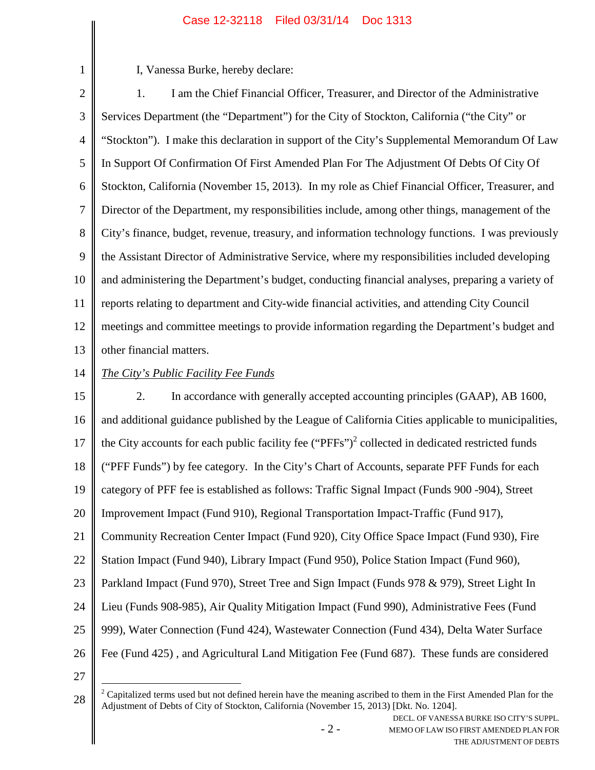## Case 12-32118 Filed 03/31/14 Doc 1313

I, Vanessa Burke, hereby declare:

2 3 4 5 6 7 8 9 10 11 12 13 1. I am the Chief Financial Officer, Treasurer, and Director of the Administrative Services Department (the "Department") for the City of Stockton, California ("the City" or "Stockton"). I make this declaration in support of the City's Supplemental Memorandum Of Law In Support Of Confirmation Of First Amended Plan For The Adjustment Of Debts Of City Of Stockton, California (November 15, 2013). In my role as Chief Financial Officer, Treasurer, and Director of the Department, my responsibilities include, among other things, management of the City's finance, budget, revenue, treasury, and information technology functions. I was previously the Assistant Director of Administrative Service, where my responsibilities included developing and administering the Department's budget, conducting financial analyses, preparing a variety of reports relating to department and City-wide financial activities, and attending City Council meetings and committee meetings to provide information regarding the Department's budget and other financial matters.

14

1

# *The City's Public Facility Fee Funds*

15 16 17 18 19 20 21 22 23 24 25 26 2. In accordance with generally accepted accounting principles (GAAP), AB 1600, and additional guidance published by the League of California Cities applicable to municipalities, the City accounts for each public facility fee  $("PFFs")^2$  $("PFFs")^2$  collected in dedicated restricted funds ("PFF Funds") by fee category. In the City's Chart of Accounts, separate PFF Funds for each category of PFF fee is established as follows: Traffic Signal Impact (Funds 900 -904), Street Improvement Impact (Fund 910), Regional Transportation Impact-Traffic (Fund 917), Community Recreation Center Impact (Fund 920), City Office Space Impact (Fund 930), Fire Station Impact (Fund 940), Library Impact (Fund 950), Police Station Impact (Fund 960), Parkland Impact (Fund 970), Street Tree and Sign Impact (Funds 978 & 979), Street Light In Lieu (Funds 908-985), Air Quality Mitigation Impact (Fund 990), Administrative Fees (Fund 999), Water Connection (Fund 424), Wastewater Connection (Fund 434), Delta Water Surface Fee (Fund 425) , and Agricultural Land Mitigation Fee (Fund 687). These funds are considered

27

<span id="page-1-0"></span><sup>28</sup>  $2^2$  Capitalized terms used but not defined herein have the meaning ascribed to them in the First Amended Plan for the Adjustment of Debts of City of Stockton, California (November 15, 2013) [Dkt. No. 1204].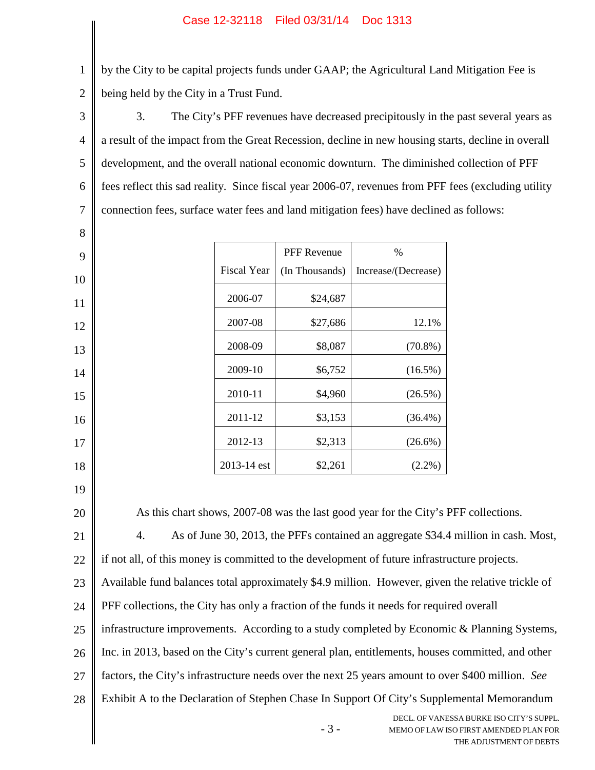by the City to be capital projects funds under GAAP; the Agricultural Land Mitigation Fee is being held by the City in a Trust Fund.

3 4 5 6 7 3. The City's PFF revenues have decreased precipitously in the past several years as a result of the impact from the Great Recession, decline in new housing starts, decline in overall development, and the overall national economic downturn. The diminished collection of PFF fees reflect this sad reality. Since fiscal year 2006-07, revenues from PFF fees (excluding utility connection fees, surface water fees and land mitigation fees) have declined as follows:

|                    | <b>PFF</b> Revenue | %                   |
|--------------------|--------------------|---------------------|
| <b>Fiscal Year</b> | (In Thousands)     | Increase/(Decrease) |
| 2006-07            | \$24,687           |                     |
| 2007-08            | \$27,686           | 12.1%               |
| 2008-09            | \$8,087            | $(70.8\%)$          |
| 2009-10            | \$6,752            | $(16.5\%)$          |
| 2010-11            | \$4,960            | $(26.5\%)$          |
| 2011-12            | \$3,153            | $(36.4\%)$          |
| 2012-13            | \$2,313            | $(26.6\%)$          |
| 2013-14 est        | \$2,261            | $(2.2\%)$           |

18 19

1

2

8

9

10

11

12

13

14

15

16

17

20

21

As this chart shows, 2007-08 was the last good year for the City's PFF collections.

4. As of June 30, 2013, the PFFs contained an aggregate \$34.4 million in cash. Most,

22 if not all, of this money is committed to the development of future infrastructure projects.

23 Available fund balances total approximately \$4.9 million. However, given the relative trickle of

24 PFF collections, the City has only a fraction of the funds it needs for required overall

25 infrastructure improvements. According to a study completed by Economic & Planning Systems,

26 Inc. in 2013, based on the City's current general plan, entitlements, houses committed, and other

27 factors, the City's infrastructure needs over the next 25 years amount to over \$400 million. *See*

28 Exhibit A to the Declaration of Stephen Chase In Support Of City's Supplemental Memorandum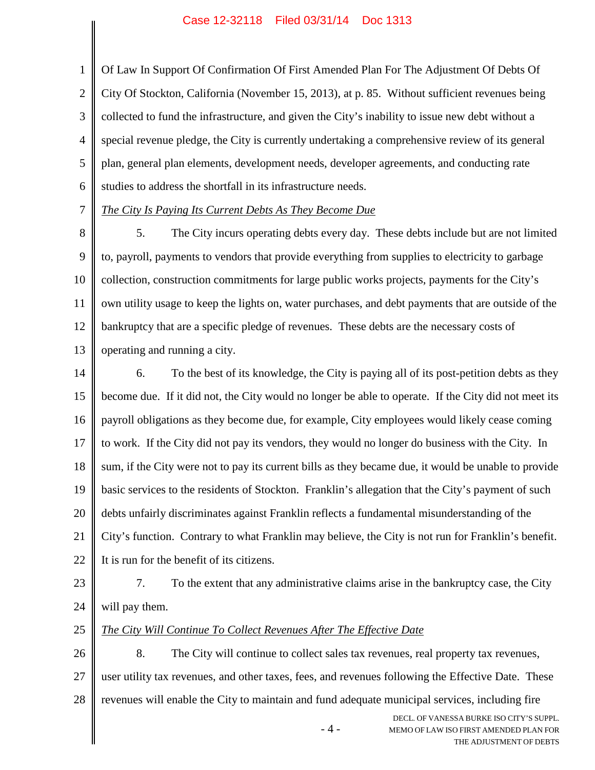1 2 3 4 5 6 Of Law In Support Of Confirmation Of First Amended Plan For The Adjustment Of Debts Of City Of Stockton, California (November 15, 2013), at p. 85. Without sufficient revenues being collected to fund the infrastructure, and given the City's inability to issue new debt without a special revenue pledge, the City is currently undertaking a comprehensive review of its general plan, general plan elements, development needs, developer agreements, and conducting rate studies to address the shortfall in its infrastructure needs.

7

## *The City Is Paying Its Current Debts As They Become Due*

8 9 10 11 12 13 5. The City incurs operating debts every day. These debts include but are not limited to, payroll, payments to vendors that provide everything from supplies to electricity to garbage collection, construction commitments for large public works projects, payments for the City's own utility usage to keep the lights on, water purchases, and debt payments that are outside of the bankruptcy that are a specific pledge of revenues. These debts are the necessary costs of operating and running a city.

14 15 16 17 18 19 20 21 22 6. To the best of its knowledge, the City is paying all of its post-petition debts as they become due. If it did not, the City would no longer be able to operate. If the City did not meet its payroll obligations as they become due, for example, City employees would likely cease coming to work. If the City did not pay its vendors, they would no longer do business with the City. In sum, if the City were not to pay its current bills as they became due, it would be unable to provide basic services to the residents of Stockton. Franklin's allegation that the City's payment of such debts unfairly discriminates against Franklin reflects a fundamental misunderstanding of the City's function. Contrary to what Franklin may believe, the City is not run for Franklin's benefit. It is run for the benefit of its citizens.

- 23 24 7. To the extent that any administrative claims arise in the bankruptcy case, the City will pay them.
- 25 *The City Will Continue To Collect Revenues After The Effective Date*

26 27 28 8. The City will continue to collect sales tax revenues, real property tax revenues, user utility tax revenues, and other taxes, fees, and revenues following the Effective Date. These revenues will enable the City to maintain and fund adequate municipal services, including fire

- 4 -